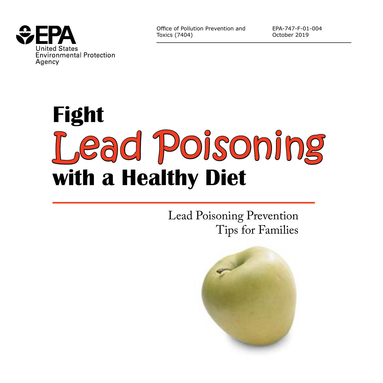

Office of Pollution Prevention and Toxics (7404)

EPA-747-F-01-004 October 2019

# **Fight with a Healthy Diet** Lead Poisoning

Lead Poisoning Prevention Tips for Families

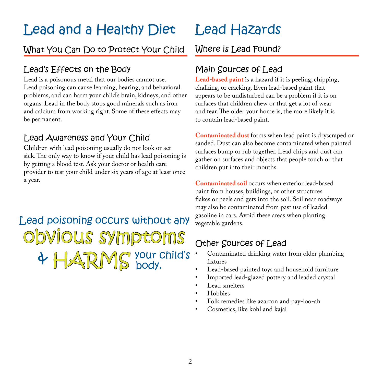### Lead and a Healthy Diet

#### What You Can Do to Protect Your Child Where is Lead Found?

#### Lead's Effects on the Body

Lead is a poisonous metal that our bodies cannot use. Lead poisoning can cause learning, hearing, and behavioral problems, and can harm your child's brain, kidneys, and other organs. Lead in the body stops good minerals such as iron and calcium from working right. Some of these effects may be permanent.

#### Lead Awareness and Your Child

Children with lead poisoning usually do not look or act sick. The only way to know if your child has lead poisoning is by getting a blood test. Ask your doctor or health care provider to test your child under six years of age at least once a year.

Lead poisoning occurs without any obvious symptoms  $\Delta$ RMS your child's

### Lead Hazards

#### Main Sources of Lead

**Lead-based paint** is a hazard if it is peeling, chipping, chalking, or cracking. Even lead-based paint that appears to be undisturbed can be a problem if it is on surfaces that children chew or that get a lot of wear and tear. The older your home is, the more likely it is to contain lead-based paint.

**Contaminated dust** forms when lead paint is dryscraped or sanded. Dust can also become contaminated when painted surfaces bump or rub together. Lead chips and dust can gather on surfaces and objects that people touch or that children put into their mouths.

**Contaminated soil** occurs when exterior lead-based paint from houses, buildings, or other structures flakes or peels and gets into the soil. Soil near roadways may also be contaminated from past use of leaded gasoline in cars. Avoid these areas when planting vegetable gardens.

#### Other Sources of Lead

- Contaminated drinking water from older plumbing fixtures
- Lead-based painted toys and household furniture
- Imported lead-glazed pottery and leaded crystal
- Lead smelters
- Hobbies
- Folk remedies like azarcon and pay-loo-ah
- Cosmetics, like kohl and kajal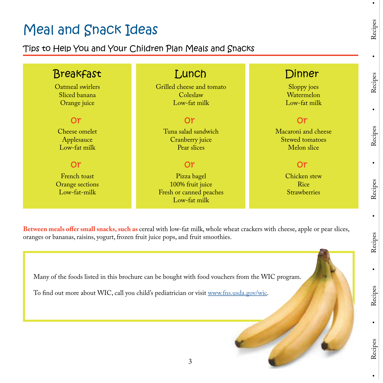### Meal and Snack Ideas

#### Tips to Help You and Your Children Plan Meals and Snacks

#### Oatmeal swirlers Sliced banana Orange juice Breakfast Lunch Dinner Cheese omelet Applesauce Low-fat milk French toast Orange sections Low-fat-milk or or Grilled cheese and tomato Coleslaw Low-fat milk Tuna salad sandwich Cranberry juice Pear slices Pizza bagel 100% fruit juice Fresh or canned peaches Low-fat milk or or Sloppy joes Watermelon Low-fat milk Macaroni and cheese Stewed tomatoes Melon slice Chicken stew Rice **Strawberries** or or

**Between meals offer small snacks, such as** cereal with low-fat milk, whole wheat crackers with cheese, apple or pear slices, oranges or bananas, raisins, yogurt, frozen fruit juice pops, and fruit smoothies.

3

Many of the foods listed in this brochure can be bought with food vouchers from the WIC program.

To find out more about WIC, call you child's pediatrician or visit www.fns.usda.gov/wic.

Recipes

 $\bullet$ 

 $\bullet$ 

Recipes

Recipes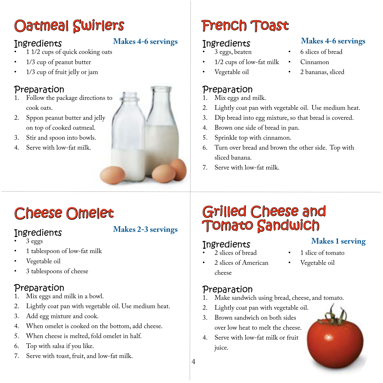### Oatmeal Swirlers

#### **Ingredients**

#### **Makes 4-6 servings**

- 1 1/2 cups of quick cooking oats
- 1/3 cup of peanut butter
- 1/3 cup of fruit jelly or jam

#### Preparation

- 1. Follow the package directions to cook oats.
- 2. Sppon peanut butter and jelly on top of cooked oatmeal.
- 3. Stir and spoon into bowls.
- 4. Serve with low-fat milk.



## French Toast

#### **Ingredients**

- 3 eggs, beaten
- 1/2 cups of low-fat milk
- Vegetable oil

#### Preparation

- 1. Mix eggs and milk.
- 2. Lightly coat pan with vegetable oil. Use medium heat.
- 3. Dip bread into egg mixture, so that bread is covered.
- 4. Brown one side of bread in pan.
- 5. Sprinkle top with cinnamon.
- 6. Turn over bread and brown the other side. Top with sliced banana.
- 7. Serve with low-fat milk.

### Cheese Omelet

#### **Ingredients**

#### **Makes 2-3 servings**

- 3 eggs
- 1 tablespoon of low-fat milk
- Vegetable oil
- 3 tablespoons of cheese

#### Preparation

- 1. Mix eggs and milk in a bowl.
- 2. Lightly coat pan with vegetable oil. Use medium heat.
- 3. Add egg mixture and cook.
- 4. When omelet is cooked on the bottom, add cheese.
- 5. When cheese is melted, fold omelet in half.
- 6. Top with salsa if you like.
- 7. Serve with toast, fruit, and low-fat milk.

### Grilled Cheese and Tomato Sandwich

#### **Ingredients**

2 slices of bread

- 1 slice of tomato **Makes 1 serving**
- 2 slices of American cheese
- Vegetable oil

### **Preparation**<br>1 Make sandwic

4

- Make sandwich using bread, cheese, and tomato.
- 2. Lightly coat pan with vegetable oil.
- 3. Brown sandwich on both sides over low heat to melt the cheese.
- 4. Serve with low-fat milk or fruit juice.



- 6 slices of bread **Makes 4-6 servings**
- Cinnamon
- 2 bananas, sliced

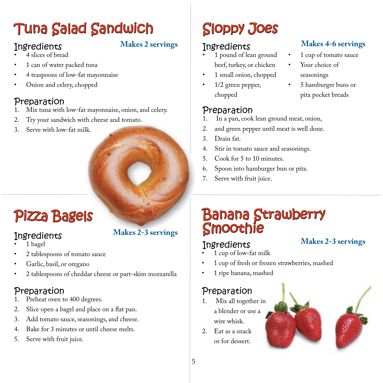### Tuna Salad Sandwich

#### **Ingredients**

#### **Makes 2 servings**

- 4 slices of bread
- 1 can of water packed tuna
- 4 teaspoons of low-fat mayonnaise
- Onion and celery, chopped

#### Preparation

- 1. Mix tuna with low-fat mayonnaise, onion, and celery.
- 2. Try your sandwich with cheese and tomato.
- 3. Serve with low-fat milk.

## Pizza Bagels

#### **Ingredients**

- 1 bagel
- 2 tablespoons of tomato sauce
- Garlic, basil, or oregano
- 2 tablespoons of cheddar cheese or part-skim mozzarella

#### Preparation

- 1. Preheat oven to 400 degrees.
- 2. Slice open a bagel and place on a flat pan.
- 3. Add tomato sauce, seasonings, and cheese.
- 4. Bake for 3 minutes or until cheese melts.
- 5. Serve with fruit juice.

#### **Makes 2-3 servings**

### Sloppy Joes

#### **Ingredients**

- 1 pound of lean ground beef, turkey, or chicken
- 1 small onion, chopped
- 1/2 green pepper, chopped

#### Preparation

- In a pan, cook lean ground meat, onion,
- 2. and green pepper until meat is well done.
- 3. Drain fat.
- 4. Stir in tomato sauce and seasonings.
- 5. Cook for 5 to 10 minutes.
- 6. Spoon into hamburger bun or pita.
- 7. Serve with fruit juice.

### Banana Strawberry Smoothie

#### **Ingredients**

#### **Makes 2-3 servings**

- 1 cup of low-fat milk
- 1 cup of fresh or frozen strawberries, mashed
- 1 ripe banana, mashed

### Preparation

- 1. Mix all together in a blender or use a wire whisk.
- 2. Eat as a snack or for dessert.





- 1 cup of tomato sauce Your choice of seasonings **Makes 4-6 servings**
	- 5 hamburger buns or pita pocket breads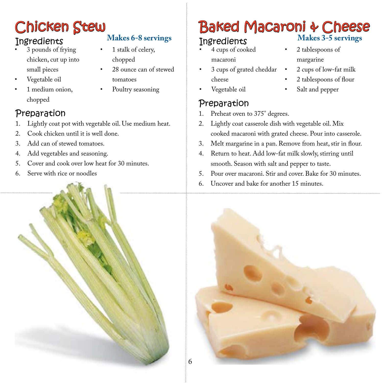### Chicken Stew

#### **Ingredients**

- 3 pounds of frying chicken, cut up into small pieces
- Vegetable oil
- 1 medium onion. chopped
- **Makes 6-8 servings**
- 1 stalk of celery, chopped
- 28 ounce can of stewed tomatoes
- Poultry seasoning

#### Preparation

- 1. Lightly coat pot with vegetable oil. Use medium heat.
- 2. Cook chicken until it is well done.
- 3. Add can of stewed tomatoes.
- 4. Add vegetables and seasoning.
- 5. Cover and cook over low heat for 30 minutes.
- 6. Serve with rice or noodles

#### Baked Macaroni & Cheese **Makes 3-5 servings**

#### **Ingredients**

- 4 cups of cooked macaroni
- 3 cups of grated cheddar cheese
- Vegetable oil
- Preparation
- 1. Preheat oven to 375° degrees.
- 2. Lightly coat casserole dish with vegetable oil. Mix cooked macaroni with grated cheese. Pour into casserole.
- 3. Melt margarine in a pan. Remove from heat, stir in flour.
- 4. Return to heat. Add low-fat milk slowly, stirring until smooth. Season with salt and pepper to taste.
- 5. Pour over macaroni. Stir and cover. Bake for 30 minutes.
- 6. Uncover and bake for another 15 minutes.



- 2 tablespoons of margarine
	- 2 cups of low-fat milk
	- 2 tablespoons of flour
	- Salt and pepper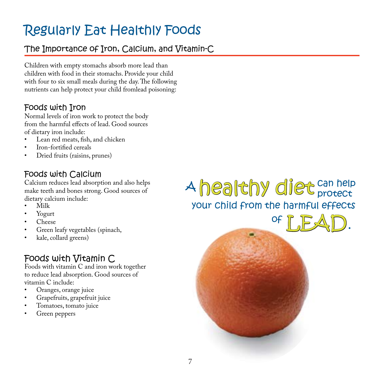### Regularly Eat Healthly Foods

#### The Importance of Iron, Calcium, and Vitamin-C

Children with empty stomachs absorb more lead than children with food in their stomachs. Provide your child with four to six small meals during the day. The following nutrients can help protect your child fromlead poisoning:

#### Foods with Iron

Normal levels of iron work to protect the body from the harmful effects of lead. Good sources of dietary iron include:

- Lean red meats, fish, and chicken
- Iron-fortified cereals
- Dried fruits (raisins, prunes)

#### Foods with Calcium

Calcium reduces lead absorption and also helps make teeth and bones strong. Good sources of dietary calcium include:

- Milk
- Yogurt
- Cheese
- Green leafy vegetables (spinach,
- kale, collard greens)

#### Foods with Vitamin C

Foods with vitamin C and iron work together to reduce lead absorption. Good sources of vitamin C include:

- Oranges, orange juice
- Grapefruits, grapefruit juice
- Tomatoes, tomato juice
- Green peppers

your child from the harmful effects A healthy diet can help